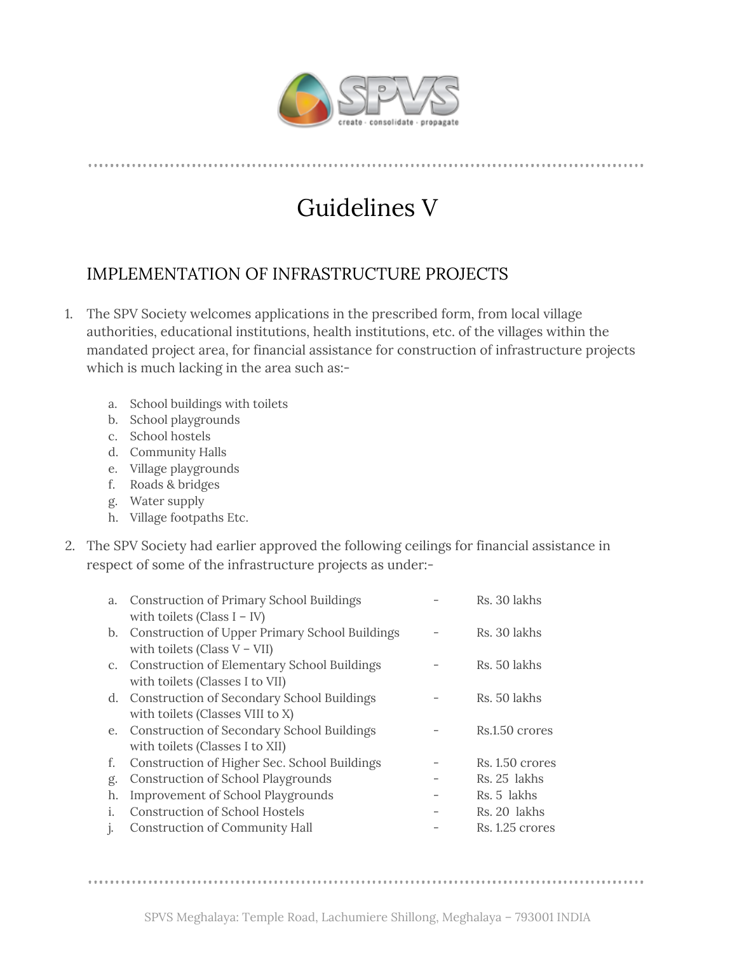

## Guidelines V

## IMPLEMENTATION OF INFRASTRUCTURE PROJECTS

- 1. The SPV Society welcomes applications in the prescribed form, from local village authorities, educational institutions, health institutions, etc. of the villages within the mandated project area, for financial assistance for construction of infrastructure projects which is much lacking in the area such as:
	- a. School buildings with toilets
	- b. School playgrounds
	- c. School hostels
	- d. Community Halls
	- e. Village playgrounds
	- f. Roads & bridges
	- g. Water supply
	- h. Village footpaths Etc.
- 2. The SPV Society had earlier approved the following ceilings for financial assistance in respect of some of the infrastructure projects as under:-

| a.             | <b>Construction of Primary School Buildings</b><br>with toilets (Class $I - IV$ ) | Rs. 30 lakhs      |
|----------------|-----------------------------------------------------------------------------------|-------------------|
|                | b. Construction of Upper Primary School Buildings                                 | Rs. 30 lakhs      |
| C <sub>1</sub> | with toilets (Class $V - VII$ )<br>Construction of Elementary School Buildings    | Rs. 50 lakhs      |
|                | with toilets (Classes I to VII)<br>d. Construction of Secondary School Buildings  | Rs. 50 lakhs      |
|                | with toilets (Classes VIII to X)                                                  |                   |
|                | e. Construction of Secondary School Buildings<br>with toilets (Classes I to XII)  | Rs.1.50 crores    |
| f.             | Construction of Higher Sec. School Buildings                                      | $Rs. 1.50$ crores |
| g.             | <b>Construction of School Playgrounds</b>                                         | Rs. 25 lakhs      |
| h.             | <b>Improvement of School Playgrounds</b>                                          | Rs. 5 lakhs       |
| Ť.             | Construction of School Hostels                                                    | Rs. 20 lakhs      |
| $\mathbf{I}$   | <b>Construction of Community Hall</b>                                             | Rs. 1.25 crores   |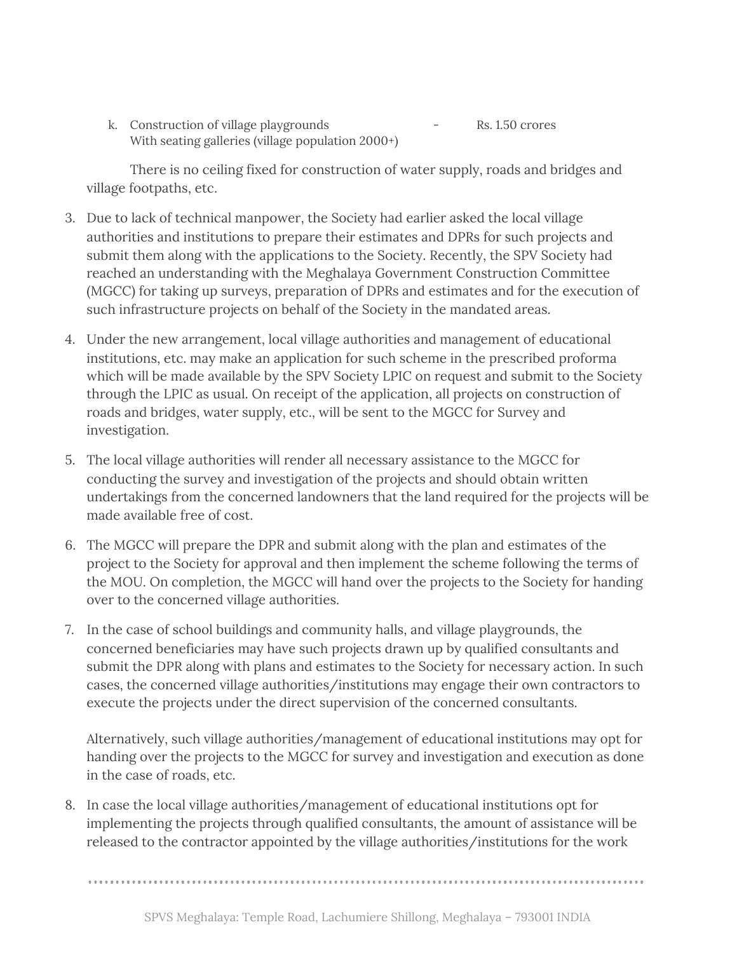k. Construction of village playgrounds - Rs. 1.50 crores With seating galleries (village population 2000+)

There is no ceiling fixed for construction of water supply, roads and bridges and village footpaths, etc.

- 3. Due to lack of technical manpower, the Society had earlier asked the local village authorities and institutions to prepare their estimates and DPRs for such projects and submit them along with the applications to the Society. Recently, the SPV Society had reached an understanding with the Meghalaya Government Construction Committee (MGCC) for taking up surveys, preparation of DPRs and estimates and for the execution of such infrastructure projects on behalf of the Society in the mandated areas.
- 4. Under the new arrangement, local village authorities and management of educational institutions, etc. may make an application for such scheme in the prescribed proforma which will be made available by the SPV Society LPIC on request and submit to the Society through the LPIC as usual. On receipt of the application, all projects on construction of roads and bridges, water supply, etc., will be sent to the MGCC for Survey and investigation.
- 5. The local village authorities will render all necessary assistance to the MGCC for conducting the survey and investigation of the projects and should obtain written undertakings from the concerned landowners that the land required for the projects will be made available free of cost.
- 6. The MGCC will prepare the DPR and submit along with the plan and estimates of the project to the Society for approval and then implement the scheme following the terms of the MOU. On completion, the MGCC will hand over the projects to the Society for handing over to the concerned village authorities.
- 7. In the case of school buildings and community halls, and village playgrounds, the concerned beneficiaries may have such projects drawn up by qualified consultants and submit the DPR along with plans and estimates to the Society for necessary action. In such cases, the concerned village authorities/institutions may engage their own contractors to execute the projects under the direct supervision of the concerned consultants.

Alternatively, such village authorities/management of educational institutions may opt for handing over the projects to the MGCC for survey and investigation and execution as done in the case of roads, etc.

8. In case the local village authorities/management of educational institutions opt for implementing the projects through qualified consultants, the amount of assistance will be released to the contractor appointed by the village authorities/institutions for the work